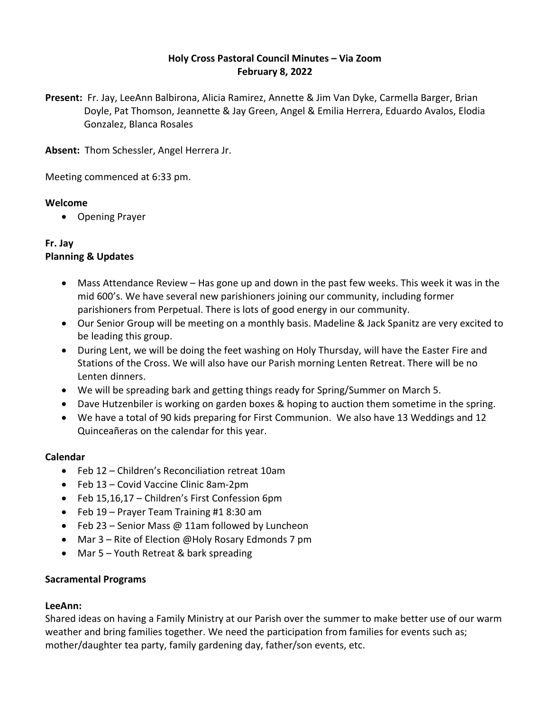# **Holy Cross Pastoral Council Minutes – Via Zoom February 8, 2022**

**Present:** Fr. Jay, LeeAnn Balbirona, Alicia Ramirez, Annette & Jim Van Dyke, Carmella Barger, Brian Doyle, Pat Thomson, Jeannette & Jay Green, Angel & Emilia Herrera, Eduardo Avalos, Elodia Gonzalez, Blanca Rosales

**Absent:** Thom Schessler, Angel Herrera Jr.

Meeting commenced at 6:33 pm.

### **Welcome**

• Opening Prayer

### **Fr. Jay Planning & Updates**

- Mass Attendance Review Has gone up and down in the past few weeks. This week it was in the mid 600's. We have several new parishioners joining our community, including former parishioners from Perpetual. There is lots of good energy in our community.
- Our Senior Group will be meeting on a monthly basis. Madeline & Jack Spanitz are very excited to be leading this group.
- During Lent, we will be doing the feet washing on Holy Thursday, will have the Easter Fire and Stations of the Cross. We will also have our Parish morning Lenten Retreat. There will be no Lenten dinners.
- We will be spreading bark and getting things ready for Spring/Summer on March 5.
- Dave Hutzenbiler is working on garden boxes & hoping to auction them sometime in the spring.
- We have a total of 90 kids preparing for First Communion. We also have 13 Weddings and 12 Quinceañeras on the calendar for this year.

## **Calendar**

- Feb 12 Children's Reconciliation retreat 10am
- Feb 13 Covid Vaccine Clinic 8am-2pm
- Feb 15,16,17 Children's First Confession 6pm
- Feb 19 Prayer Team Training #1 8:30 am
- Feb 23 Senior Mass @ 11am followed by Luncheon
- Mar 3 Rite of Election @Holy Rosary Edmonds 7 pm
- Mar 5 Youth Retreat & bark spreading

## **Sacramental Programs**

## **LeeAnn:**

Shared ideas on having a Family Ministry at our Parish over the summer to make better use of our warm weather and bring families together. We need the participation from families for events such as; mother/daughter tea party, family gardening day, father/son events, etc.